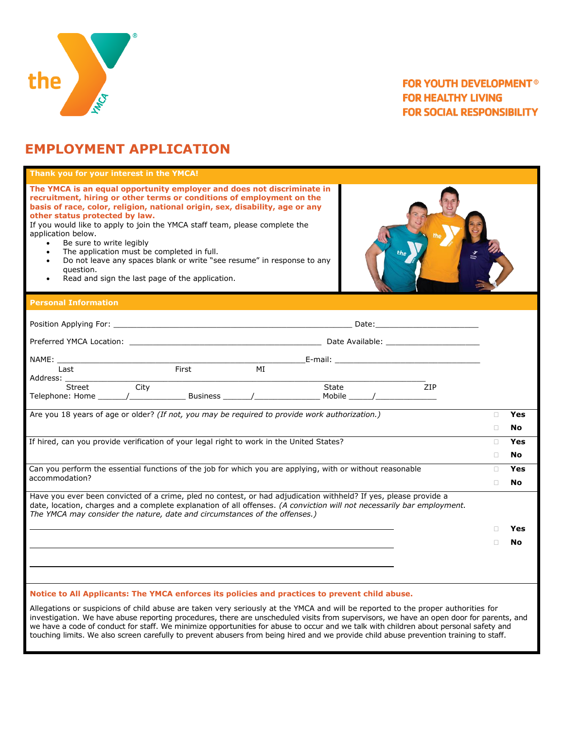

### **FOR YOUTH DEVELOPMENT® FOR HEALTHY LIVING FOR SOCIAL RESPONSIBILITY**

# **EMPLOYMENT APPLICATION**

| Thank you for your interest in the YMCA!                                                                                                                                                                                                                                                                                                                                                                                                                                                                                                                                                                                                       |        |           |  |  |  |
|------------------------------------------------------------------------------------------------------------------------------------------------------------------------------------------------------------------------------------------------------------------------------------------------------------------------------------------------------------------------------------------------------------------------------------------------------------------------------------------------------------------------------------------------------------------------------------------------------------------------------------------------|--------|-----------|--|--|--|
| The YMCA is an equal opportunity employer and does not discriminate in<br>recruitment, hiring or other terms or conditions of employment on the<br>basis of race, color, religion, national origin, sex, disability, age or any<br>other status protected by law.<br>If you would like to apply to join the YMCA staff team, please complete the<br>application below.<br>Be sure to write legibly<br>$\bullet$<br>The application must be completed in full.<br>$\bullet$<br>Do not leave any spaces blank or write "see resume" in response to any<br>$\bullet$<br>question.<br>Read and sign the last page of the application.<br>$\bullet$ |        |           |  |  |  |
| <b>Personal Information</b>                                                                                                                                                                                                                                                                                                                                                                                                                                                                                                                                                                                                                    |        |           |  |  |  |
|                                                                                                                                                                                                                                                                                                                                                                                                                                                                                                                                                                                                                                                |        |           |  |  |  |
|                                                                                                                                                                                                                                                                                                                                                                                                                                                                                                                                                                                                                                                |        |           |  |  |  |
|                                                                                                                                                                                                                                                                                                                                                                                                                                                                                                                                                                                                                                                |        |           |  |  |  |
| First<br>MT<br>Last<br>Address:                                                                                                                                                                                                                                                                                                                                                                                                                                                                                                                                                                                                                |        |           |  |  |  |
| City<br>Street<br>State<br><b>ZIP</b>                                                                                                                                                                                                                                                                                                                                                                                                                                                                                                                                                                                                          |        |           |  |  |  |
| Are you 18 years of age or older? (If not, you may be required to provide work authorization.)                                                                                                                                                                                                                                                                                                                                                                                                                                                                                                                                                 | $\Box$ | Yes       |  |  |  |
|                                                                                                                                                                                                                                                                                                                                                                                                                                                                                                                                                                                                                                                | $\Box$ | No        |  |  |  |
| If hired, can you provide verification of your legal right to work in the United States?                                                                                                                                                                                                                                                                                                                                                                                                                                                                                                                                                       |        |           |  |  |  |
|                                                                                                                                                                                                                                                                                                                                                                                                                                                                                                                                                                                                                                                | $\Box$ | <b>No</b> |  |  |  |
| Can you perform the essential functions of the job for which you are applying, with or without reasonable<br>accommodation?                                                                                                                                                                                                                                                                                                                                                                                                                                                                                                                    | п      | Yes       |  |  |  |
|                                                                                                                                                                                                                                                                                                                                                                                                                                                                                                                                                                                                                                                | $\Box$ | No        |  |  |  |
| Have you ever been convicted of a crime, pled no contest, or had adjudication withheld? If yes, please provide a<br>date, location, charges and a complete explanation of all offenses. (A conviction will not necessarily bar employment.<br>The YMCA may consider the nature, date and circumstances of the offenses.)                                                                                                                                                                                                                                                                                                                       |        |           |  |  |  |
|                                                                                                                                                                                                                                                                                                                                                                                                                                                                                                                                                                                                                                                | п      | Yes       |  |  |  |
|                                                                                                                                                                                                                                                                                                                                                                                                                                                                                                                                                                                                                                                | П      | No        |  |  |  |
|                                                                                                                                                                                                                                                                                                                                                                                                                                                                                                                                                                                                                                                |        |           |  |  |  |
|                                                                                                                                                                                                                                                                                                                                                                                                                                                                                                                                                                                                                                                |        |           |  |  |  |
| Notice to All Applicants: The YMCA enforces its policies and practices to prevent child abuse.                                                                                                                                                                                                                                                                                                                                                                                                                                                                                                                                                 |        |           |  |  |  |

Allegations or suspicions of child abuse are taken very seriously at the YMCA and will be reported to the proper authorities for investigation. We have abuse reporting procedures, there are unscheduled visits from supervisors, we have an open door for parents, and we have a code of conduct for staff. We minimize opportunities for abuse to occur and we talk with children about personal safety and touching limits. We also screen carefully to prevent abusers from being hired and we provide child abuse prevention training to staff.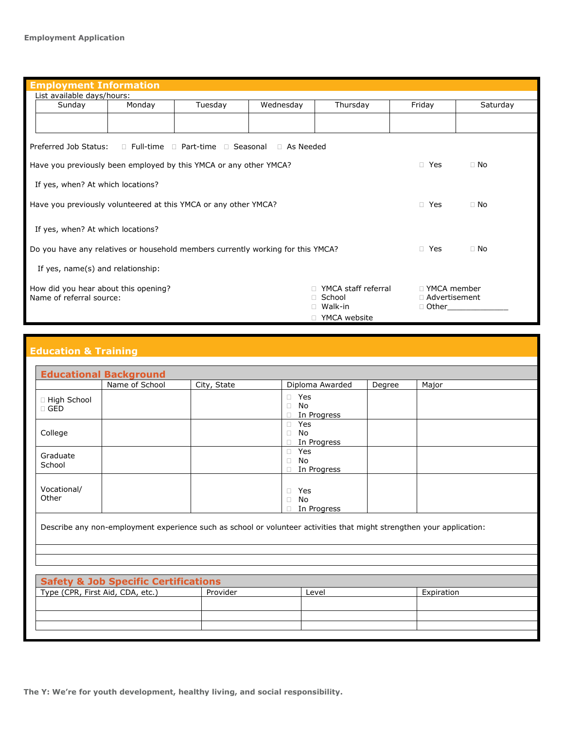| <b>Employment Information</b>                                                                                                                                                               |        |         |           |           |           |          |
|---------------------------------------------------------------------------------------------------------------------------------------------------------------------------------------------|--------|---------|-----------|-----------|-----------|----------|
| List available days/hours:                                                                                                                                                                  |        |         |           |           |           |          |
| Sunday                                                                                                                                                                                      | Monday | Tuesday | Wednesday | Thursday  | Friday    | Saturday |
|                                                                                                                                                                                             |        |         |           |           |           |          |
| Preferred Job Status:<br>$\Box$ Full-time $\Box$ Part-time $\Box$ Seasonal $\Box$ As Needed                                                                                                 |        |         |           |           |           |          |
| Have you previously been employed by this YMCA or any other YMCA?<br>□ Yes                                                                                                                  |        |         |           |           | $\Box$ No |          |
| If yes, when? At which locations?                                                                                                                                                           |        |         |           |           |           |          |
| $\Box$ Yes<br>$\Box$ No<br>Have you previously volunteered at this YMCA or any other YMCA?                                                                                                  |        |         |           |           |           |          |
| If yes, when? At which locations?                                                                                                                                                           |        |         |           |           |           |          |
| Do you have any relatives or household members currently working for this YMCA?<br>$\Box$ Yes                                                                                               |        |         |           | $\Box$ No |           |          |
| If yes, name(s) and relationship:                                                                                                                                                           |        |         |           |           |           |          |
| YMCA staff referral<br>□ YMCA member<br>How did you hear about this opening?<br>□ School<br>$\Box$ Advertisement<br>Name of referral source:<br>□ Walk-in<br>$\Box$ Other<br>□ YMCA website |        |         |           |           |           |          |

## **Education & Training**

|                             | Name of School | City, State | Diploma Awarded                              | Degree | Major |
|-----------------------------|----------------|-------------|----------------------------------------------|--------|-------|
| □ High School<br>$\Box$ GED |                |             | Yes<br>$\Box$<br>No<br>$\Box$<br>In Progress |        |       |
| College                     |                |             | Yes<br>No<br>$\Box$<br>In Progress           |        |       |
| Graduate<br>School          |                |             | Yes<br>П.<br>No<br>$\Box$<br>In Progress     |        |       |
| Vocational/<br>Other        |                |             | Yes<br>$\Box$<br>No<br>$\Box$<br>In Progress |        |       |

| <b>Safety &amp; Job Specific Certifications</b> |          |       |            |  |
|-------------------------------------------------|----------|-------|------------|--|
| Type (CPR, First Aid, CDA, etc.)                | Provider | Level | Expiration |  |
|                                                 |          |       |            |  |
|                                                 |          |       |            |  |
|                                                 |          |       |            |  |
|                                                 |          |       |            |  |

**The Y: We're for youth development, healthy living, and social responsibility.**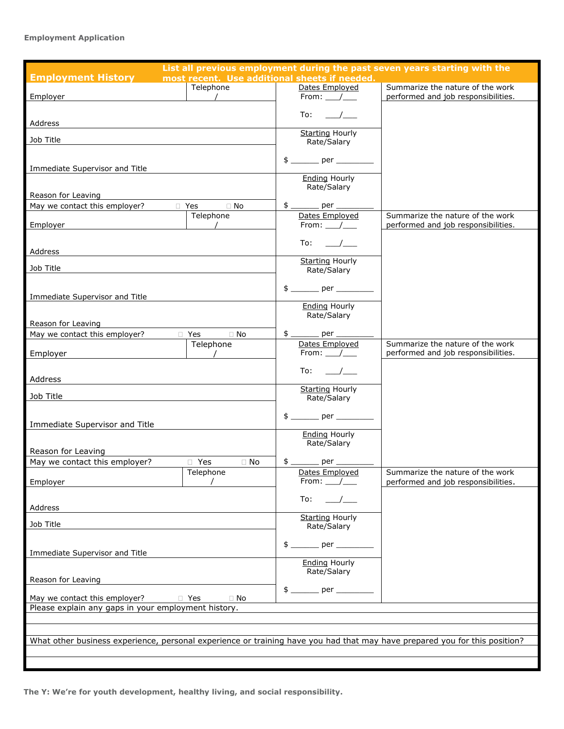### **Employment Application**

| List all previous employment during the past seven years starting with the                                                 |                                               |  |                                       |                                                                         |
|----------------------------------------------------------------------------------------------------------------------------|-----------------------------------------------|--|---------------------------------------|-------------------------------------------------------------------------|
| <b>Employment History</b>                                                                                                  | most recent. Use additional sheets if needed. |  |                                       |                                                                         |
|                                                                                                                            | Telephone                                     |  | Dates Employed                        | Summarize the nature of the work                                        |
| Employer                                                                                                                   |                                               |  | From: $\_\_\_\_\_\_\$                 | performed and job responsibilities.                                     |
|                                                                                                                            |                                               |  | To:                                   |                                                                         |
| Address                                                                                                                    |                                               |  |                                       |                                                                         |
| Job Title                                                                                                                  |                                               |  | <b>Starting Hourly</b>                |                                                                         |
|                                                                                                                            |                                               |  | Rate/Salary                           |                                                                         |
|                                                                                                                            |                                               |  |                                       |                                                                         |
| Immediate Supervisor and Title                                                                                             |                                               |  |                                       |                                                                         |
|                                                                                                                            |                                               |  | Ending Hourly<br>Rate/Salary          |                                                                         |
| Reason for Leaving                                                                                                         |                                               |  |                                       |                                                                         |
| May we contact this employer?<br>D Yes                                                                                     | $\Box$ No                                     |  | $$$ _________ per ______              |                                                                         |
|                                                                                                                            | Telephone                                     |  | Dates Employed                        | Summarize the nature of the work                                        |
| Employer                                                                                                                   |                                               |  | From: $\_\_\_\_\_\_\$                 | performed and job responsibilities.                                     |
|                                                                                                                            |                                               |  | To:                                   |                                                                         |
| Address                                                                                                                    |                                               |  |                                       |                                                                         |
| Job Title                                                                                                                  |                                               |  | <b>Starting Hourly</b><br>Rate/Salary |                                                                         |
|                                                                                                                            |                                               |  |                                       |                                                                         |
|                                                                                                                            |                                               |  |                                       |                                                                         |
| Immediate Supervisor and Title                                                                                             |                                               |  |                                       |                                                                         |
|                                                                                                                            |                                               |  | <b>Ending Hourly</b><br>Rate/Salary   |                                                                         |
| Reason for Leaving                                                                                                         |                                               |  |                                       |                                                                         |
| May we contact this employer?                                                                                              | $\Box$ No<br>□ Yes                            |  |                                       |                                                                         |
|                                                                                                                            | Telephone                                     |  | Dates Employed                        | Summarize the nature of the work                                        |
| Employer                                                                                                                   | $\overline{\phantom{a}}$                      |  | From: /                               | performed and job responsibilities.                                     |
|                                                                                                                            |                                               |  | To:                                   |                                                                         |
| Address                                                                                                                    |                                               |  |                                       |                                                                         |
| Job Title                                                                                                                  |                                               |  | <b>Starting Hourly</b><br>Rate/Salary |                                                                         |
|                                                                                                                            |                                               |  |                                       |                                                                         |
|                                                                                                                            |                                               |  |                                       |                                                                         |
| Immediate Supervisor and Title                                                                                             |                                               |  | <b>Ending Hourly</b>                  |                                                                         |
|                                                                                                                            |                                               |  | Rate/Salary                           |                                                                         |
| Reason for Leaving                                                                                                         |                                               |  |                                       |                                                                         |
| May we contact this employer?<br>$\Box$ Yes<br>$\Box$ No                                                                   |                                               |  |                                       |                                                                         |
| Employer                                                                                                                   | Telephone                                     |  | From: /                               | Summarize the nature of the work<br>performed and job responsibilities. |
|                                                                                                                            |                                               |  |                                       |                                                                         |
|                                                                                                                            |                                               |  | To:                                   |                                                                         |
| Address                                                                                                                    |                                               |  | <b>Starting Hourly</b>                |                                                                         |
| Job Title                                                                                                                  |                                               |  | Rate/Salary                           |                                                                         |
|                                                                                                                            |                                               |  |                                       |                                                                         |
| Immediate Supervisor and Title                                                                                             |                                               |  |                                       |                                                                         |
|                                                                                                                            |                                               |  | <b>Ending Hourly</b>                  |                                                                         |
|                                                                                                                            |                                               |  | Rate/Salary                           |                                                                         |
| Reason for Leaving                                                                                                         |                                               |  |                                       |                                                                         |
| May we contact this employer?<br>□ Yes<br>$\Box$ No                                                                        |                                               |  |                                       |                                                                         |
| Please explain any gaps in your employment history.                                                                        |                                               |  |                                       |                                                                         |
|                                                                                                                            |                                               |  |                                       |                                                                         |
|                                                                                                                            |                                               |  |                                       |                                                                         |
| What other business experience, personal experience or training have you had that may have prepared you for this position? |                                               |  |                                       |                                                                         |
|                                                                                                                            |                                               |  |                                       |                                                                         |
|                                                                                                                            |                                               |  |                                       |                                                                         |